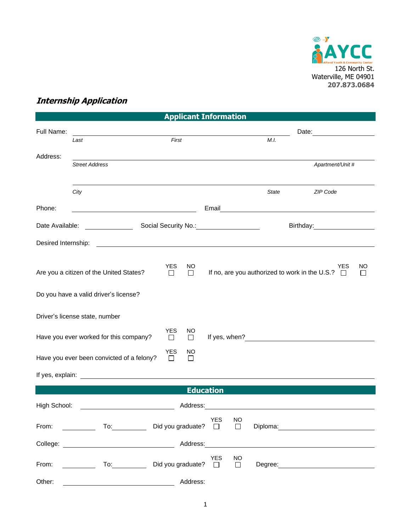

## **Internship Application**

| <b>Applicant Information</b>   |                                                                                                                                                                                                                                |                          |               |            |                     |                                                            |                                                                                                                                                                                                                                |  |  |
|--------------------------------|--------------------------------------------------------------------------------------------------------------------------------------------------------------------------------------------------------------------------------|--------------------------|---------------|------------|---------------------|------------------------------------------------------------|--------------------------------------------------------------------------------------------------------------------------------------------------------------------------------------------------------------------------------|--|--|
| Full Name:                     |                                                                                                                                                                                                                                |                          |               |            |                     |                                                            |                                                                                                                                                                                                                                |  |  |
|                                | Last                                                                                                                                                                                                                           | First                    |               |            |                     | M.I.                                                       |                                                                                                                                                                                                                                |  |  |
| Address:                       |                                                                                                                                                                                                                                |                          |               |            |                     |                                                            |                                                                                                                                                                                                                                |  |  |
|                                | <b>Street Address</b>                                                                                                                                                                                                          |                          |               |            |                     |                                                            | Apartment/Unit #                                                                                                                                                                                                               |  |  |
|                                |                                                                                                                                                                                                                                |                          |               |            |                     |                                                            |                                                                                                                                                                                                                                |  |  |
|                                | City                                                                                                                                                                                                                           |                          |               |            |                     | <b>State</b>                                               | ZIP Code                                                                                                                                                                                                                       |  |  |
| Phone:                         |                                                                                                                                                                                                                                |                          |               | Email      |                     | <u> 1989 - Jan James Barnett, fransk politik (d. 1989)</u> |                                                                                                                                                                                                                                |  |  |
|                                |                                                                                                                                                                                                                                |                          |               |            |                     |                                                            |                                                                                                                                                                                                                                |  |  |
| Date Available:                |                                                                                                                                                                                                                                | Social Security No.:     |               |            |                     |                                                            | Birthday:                                                                                                                                                                                                                      |  |  |
| Desired Internship:            |                                                                                                                                                                                                                                |                          |               |            |                     |                                                            |                                                                                                                                                                                                                                |  |  |
|                                |                                                                                                                                                                                                                                |                          |               |            |                     |                                                            |                                                                                                                                                                                                                                |  |  |
|                                | Are you a citizen of the United States?                                                                                                                                                                                        | <b>YES</b><br>$\Box$     | NO.<br>$\Box$ |            |                     | If no, are you authorized to work in the U.S.? $\square$   | ΝO<br>YES<br>$\mathsf{L}$                                                                                                                                                                                                      |  |  |
|                                |                                                                                                                                                                                                                                |                          |               |            |                     |                                                            |                                                                                                                                                                                                                                |  |  |
|                                | Do you have a valid driver's license?                                                                                                                                                                                          |                          |               |            |                     |                                                            |                                                                                                                                                                                                                                |  |  |
|                                |                                                                                                                                                                                                                                |                          |               |            |                     |                                                            |                                                                                                                                                                                                                                |  |  |
| Driver's license state, number |                                                                                                                                                                                                                                |                          |               |            |                     |                                                            |                                                                                                                                                                                                                                |  |  |
|                                | Have you ever worked for this company?                                                                                                                                                                                         | <b>YES</b><br>$\Box$     | NO<br>$\Box$  |            |                     |                                                            |                                                                                                                                                                                                                                |  |  |
|                                | Have you ever been convicted of a felony?                                                                                                                                                                                      | YES<br>□                 | NO<br>$\perp$ |            |                     |                                                            |                                                                                                                                                                                                                                |  |  |
|                                |                                                                                                                                                                                                                                |                          |               |            |                     |                                                            |                                                                                                                                                                                                                                |  |  |
|                                |                                                                                                                                                                                                                                |                          |               |            |                     |                                                            |                                                                                                                                                                                                                                |  |  |
| <b>Education</b>               |                                                                                                                                                                                                                                |                          |               |            |                     |                                                            |                                                                                                                                                                                                                                |  |  |
| High School:                   |                                                                                                                                                                                                                                |                          | Address:      |            |                     |                                                            |                                                                                                                                                                                                                                |  |  |
|                                | From: To: Did you graduate? □                                                                                                                                                                                                  |                          |               | <b>YES</b> | <b>NO</b><br>$\Box$ |                                                            | Diploma: the contract of the contract of the contract of the contract of the contract of the contract of the contract of the contract of the contract of the contract of the contract of the contract of the contract of the c |  |  |
|                                |                                                                                                                                                                                                                                |                          |               |            |                     |                                                            |                                                                                                                                                                                                                                |  |  |
|                                | College: College: 2008. Address: 2008. Address: 2008. Address: 2008. Address: 2008. Address: 2008. Address: 2008. Address: 2008. Address: 2008. Address: 2008. Address: 2008. Address: 2008. Address: 2008. Address: 2008. Add |                          |               |            |                     |                                                            |                                                                                                                                                                                                                                |  |  |
| From:                          | $\begin{array}{ccc} & & \text{To:} \ \end{array}$                                                                                                                                                                              | Did you graduate? $\Box$ |               | <b>YES</b> | NO<br>$\Box$        |                                                            |                                                                                                                                                                                                                                |  |  |
|                                |                                                                                                                                                                                                                                |                          |               |            |                     |                                                            |                                                                                                                                                                                                                                |  |  |
| Other:                         |                                                                                                                                                                                                                                |                          | Address:      |            |                     |                                                            |                                                                                                                                                                                                                                |  |  |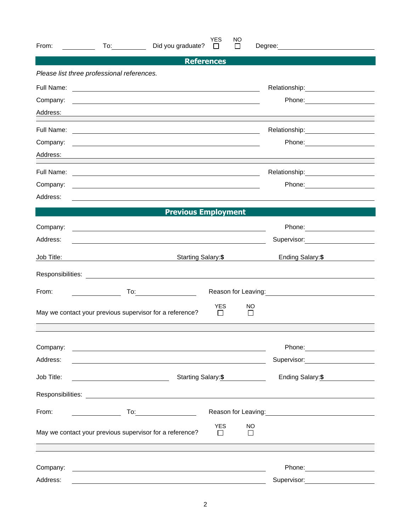| From:      | Did you graduate?                                                                                                      | <b>YES</b><br>$\Box$       | NO<br>$\mathbf{I}$  | Degree: <u>_____________________</u>               |  |
|------------|------------------------------------------------------------------------------------------------------------------------|----------------------------|---------------------|----------------------------------------------------|--|
|            |                                                                                                                        | <b>References</b>          |                     |                                                    |  |
|            | Please list three professional references.                                                                             |                            |                     |                                                    |  |
|            |                                                                                                                        |                            |                     |                                                    |  |
| Company:   | <u> 1989 - Johann Barn, mars ann an t-Amhain ann an t-Amhain ann an t-Amhain ann an t-Amhain an t-Amhain ann an t-</u> |                            |                     |                                                    |  |
| Address:   |                                                                                                                        |                            |                     |                                                    |  |
| Full Name: | <u> 2000 - Andrea Andrew Maria (h. 1888).</u>                                                                          |                            |                     | Relationship:<br><u> </u>                          |  |
| Company:   | and the control of the control of the control of the control of the control of the control of the control of the       |                            |                     | Phone: <u>_______________</u>                      |  |
| Address:   |                                                                                                                        |                            |                     |                                                    |  |
| Full Name: | <u> 1989 - Johann John Stein, markin film yn y brening yn y brening yn y brening yn y brening yn y brening yn y b</u>  |                            |                     |                                                    |  |
| Company:   | <u> 1980 - Andrea Stadt Britain, amerikansk politik (* 1950)</u>                                                       |                            |                     |                                                    |  |
| Address:   | and the control of the control of the control of the control of the control of the control of the control of the       |                            |                     |                                                    |  |
|            | <b>Previous Employment</b><br><u> 1989 - Johann Barnett, fransk politiker (</u>                                        |                            |                     |                                                    |  |
| Company:   | <u> 1989 - Johann Stein, marwolaethau a bhann an t-Amhair an t-Amhair an t-Amhair an t-Amhair an t-Amhair an t-A</u>   |                            |                     |                                                    |  |
| Address:   | <u> 1980 - Johann Barbara, martin amerikan personal (</u>                                                              |                            |                     | Supervisor: <u>_________</u>                       |  |
| Job Title: | Starting Salary:\$                                                                                                     |                            |                     | Ending Salary:\$                                   |  |
|            |                                                                                                                        |                            |                     |                                                    |  |
| From:      | $To: \begin{tabular}{ c c c } \hline \quad \quad & \quad \quad & \quad \quad \\ \hline \end{tabular}$                  |                            |                     | Reason for Leaving:<br><u>Neason</u> for Leaving:  |  |
|            | May we contact your previous supervisor for a reference?                                                               | <b>YES</b><br>$\Box$       | NO<br>$\mathbf{1}$  |                                                    |  |
|            |                                                                                                                        |                            |                     |                                                    |  |
| Company:   | <u> 1989 - Johann Stein, Amerikaansk politiker (* 1958)</u>                                                            |                            |                     |                                                    |  |
| Address:   |                                                                                                                        |                            |                     | Supervisor: Victor Control of Supervisor:          |  |
| Job Title: |                                                                                                                        | Starting Salary:\$         |                     |                                                    |  |
|            |                                                                                                                        |                            |                     |                                                    |  |
| From:      | $To: \begin{tabular}{ c c c } \hline \quad \quad & \quad \quad & \quad \quad \\ \hline \end{tabular}.$                 |                            |                     | Reason for Leaving:<br><u> Reason</u> for Leaving: |  |
|            | May we contact your previous supervisor for a reference?                                                               | <b>YES</b><br>$\mathbf{1}$ | NO.<br>$\mathbf{I}$ |                                                    |  |
|            |                                                                                                                        |                            |                     |                                                    |  |
| Company:   |                                                                                                                        |                            |                     |                                                    |  |
| Address:   |                                                                                                                        |                            |                     | Supervisor: Supervisor:                            |  |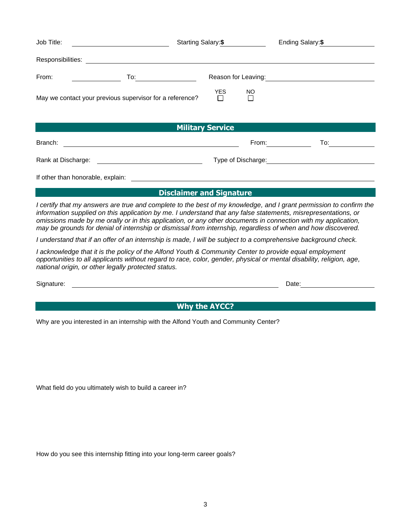| Job Title:<br><u> 1989 - Johann Barn, fransk politik (d. 1989)</u>                                                                                                                                                                                                                                                                                                                                                                                                    | Starting Salary: \$             |               |                     | Ending Salary: \$                                                                                                                                                                                                              |
|-----------------------------------------------------------------------------------------------------------------------------------------------------------------------------------------------------------------------------------------------------------------------------------------------------------------------------------------------------------------------------------------------------------------------------------------------------------------------|---------------------------------|---------------|---------------------|--------------------------------------------------------------------------------------------------------------------------------------------------------------------------------------------------------------------------------|
|                                                                                                                                                                                                                                                                                                                                                                                                                                                                       |                                 |               |                     |                                                                                                                                                                                                                                |
| From:<br>To:_____________________                                                                                                                                                                                                                                                                                                                                                                                                                                     |                                 |               |                     | Reason for Leaving:<br><u>Example 2008</u>                                                                                                                                                                                     |
| May we contact your previous supervisor for a reference?                                                                                                                                                                                                                                                                                                                                                                                                              | <b>YES</b><br>$\Box$            | NO.<br>$\Box$ |                     |                                                                                                                                                                                                                                |
|                                                                                                                                                                                                                                                                                                                                                                                                                                                                       | <b>Military Service</b>         |               |                     |                                                                                                                                                                                                                                |
| Branch:                                                                                                                                                                                                                                                                                                                                                                                                                                                               |                                 |               | From: $\frac{1}{2}$ | $\overline{a}$ To:                                                                                                                                                                                                             |
|                                                                                                                                                                                                                                                                                                                                                                                                                                                                       |                                 |               |                     | Type of Discharge: The Contract of Discharge Services of Discharge Services of Discharge Services of The Contract of The Contract of The Contract of The Contract of The Contract of The Contract of The Contract of The Contr |
|                                                                                                                                                                                                                                                                                                                                                                                                                                                                       |                                 |               |                     |                                                                                                                                                                                                                                |
|                                                                                                                                                                                                                                                                                                                                                                                                                                                                       | <b>Disclaimer and Signature</b> |               |                     |                                                                                                                                                                                                                                |
| I certify that my answers are true and complete to the best of my knowledge, and I grant permission to confirm the<br>information supplied on this application by me. I understand that any false statements, misrepresentations, or<br>omissions made by me orally or in this application, or any other documents in connection with my application,<br>may be grounds for denial of internship or dismissal from internship, regardless of when and how discovered. |                                 |               |                     |                                                                                                                                                                                                                                |
| I understand that if an offer of an internship is made, I will be subject to a comprehensive background check.                                                                                                                                                                                                                                                                                                                                                        |                                 |               |                     |                                                                                                                                                                                                                                |
| I acknowledge that it is the policy of the Alfond Youth & Community Center to provide equal employment<br>opportunities to all applicants without regard to race, color, gender, physical or mental disability, religion, age,<br>national origin, or other legally protected status.                                                                                                                                                                                 |                                 |               |                     |                                                                                                                                                                                                                                |

Signature: <u>Date:</u> Date: Date: Date: Date: Date: Date: Date: Date: Date: Date: Date: Date: Date: Date: Date: Date: Date: Date: Date: Date: Date: Date: Date: Date: Date: Date: Date: Date: Date: Date: Date: Date: Date: Date:

**Why the AYCC?** 

Why are you interested in an internship with the Alfond Youth and Community Center?

What field do you ultimately wish to build a career in?

How do you see this internship fitting into your long-term career goals?